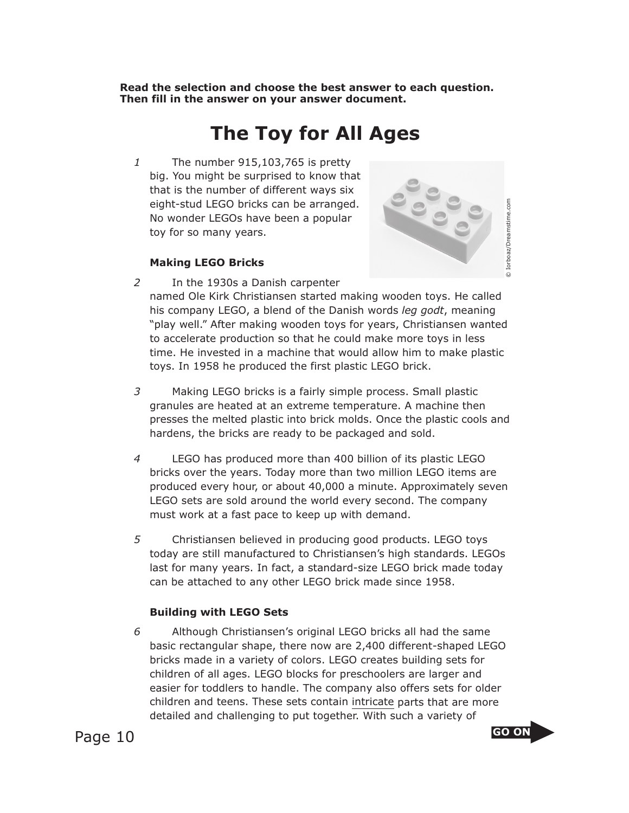**Read the selection and choose the best answer to each question. Then fill in the answer on your answer document.**

## **The Toy for All Ages**

*1* The number 915,103,765 is pretty big. You might be surprised to know that that is the number of different ways six eight-stud LEGO bricks can be arranged. No wonder LEGOs have been a popular toy for so many years.



## **Making LEGO Bricks**

- *2* In the 1930s a Danish carpenter named Ole Kirk Christiansen started making wooden toys. He called his company LEGO, a blend of the Danish words *leg godt*, meaning "play well." After making wooden toys for years, Christiansen wanted to accelerate production so that he could make more toys in less time. He invested in a machine that would allow him to make plastic toys. In 1958 he produced the first plastic LEGO brick.
- *3* Making LEGO bricks is a fairly simple process. Small plastic granules are heated at an extreme temperature. A machine then presses the melted plastic into brick molds. Once the plastic cools and hardens, the bricks are ready to be packaged and sold.
- *4* LEGO has produced more than 400 billion of its plastic LEGO bricks over the years. Today more than two million LEGO items are produced every hour, or about 40,000 a minute. Approximately seven LEGO sets are sold around the world every second. The company must work at a fast pace to keep up with demand.
- *5* Christiansen believed in producing good products. LEGO toys today are still manufactured to Christiansen's high standards. LEGOs last for many years. In fact, a standard-size LEGO brick made today can be attached to any other LEGO brick made since 1958.

## **Building with LEGO Sets**

*6* Although Christiansen's original LEGO bricks all had the same basic rectangular shape, there now are 2,400 different-shaped LEGO bricks made in a variety of colors. LEGO creates building sets for children of all ages. LEGO blocks for preschoolers are larger and easier for toddlers to handle. The company also offers sets for older children and teens. These sets contain intricate parts that are more detailed and challenging to put together. With such a variety of

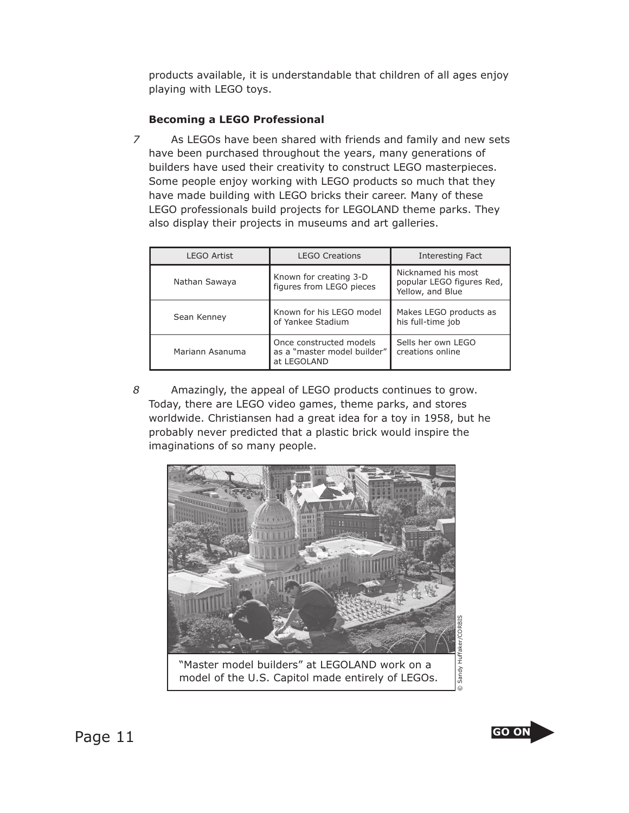products available, it is understandable that children of all ages enjoy playing with LEGO toys.

## **Becoming a LEGO Professional**

*7* As LEGOs have been shared with friends and family and new sets have been purchased throughout the years, many generations of builders have used their creativity to construct LEGO masterpieces. Some people enjoy working with LEGO products so much that they have made building with LEGO bricks their career. Many of these LEGO professionals build projects for LEGOLAND theme parks. They also display their projects in museums and art galleries.

| <b>LEGO Artist</b> | <b>LEGO Creations</b>                                                 | Interesting Fact                                                    |
|--------------------|-----------------------------------------------------------------------|---------------------------------------------------------------------|
| Nathan Sawaya      | Known for creating 3-D<br>figures from LEGO pieces                    | Nicknamed his most<br>popular LEGO figures Red,<br>Yellow, and Blue |
| Sean Kenney        | Known for his LEGO model<br>of Yankee Stadium                         | Makes LEGO products as<br>his full-time job                         |
| Mariann Asanuma    | Once constructed models<br>as a "master model builder"<br>at LEGOLAND | Sells her own LEGO<br>creations online                              |

*8* Amazingly, the appeal of LEGO products continues to grow. Today, there are LEGO video games, theme parks, and stores worldwide. Christiansen had a great idea for a toy in 1958, but he probably never predicted that a plastic brick would inspire the imaginations of so many people.



"Master model builders" at LEGOLAND work on a model of the U.S. Capitol made entirely of LEGOs.



Sandy I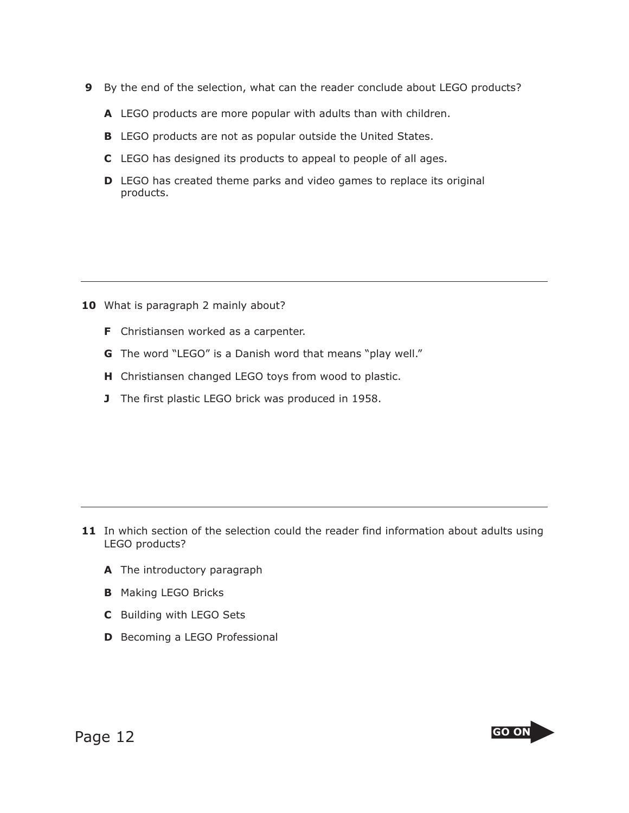- **9** By the end of the selection, what can the reader conclude about LEGO products?
	- **A** LEGO products are more popular with adults than with children.
	- **B** LEGO products are not as popular outside the United States.
	- **C** LEGO has designed its products to appeal to people of all ages.
	- **D** LEGO has created theme parks and video games to replace its original products.

- 10 What is paragraph 2 mainly about?
	- **F** Christiansen worked as a carpenter.
	- **G** The word "LEGO" is a Danish word that means "play well."
	- **H** Christiansen changed LEGO toys from wood to plastic.
	- **J** The first plastic LEGO brick was produced in 1958.

- **11** In which section of the selection could the reader find information about adults using LEGO products?
	- **A** The introductory paragraph
	- **B** Making LEGO Bricks
	- **C** Building with LEGO Sets
	- **D** Becoming a LEGO Professional

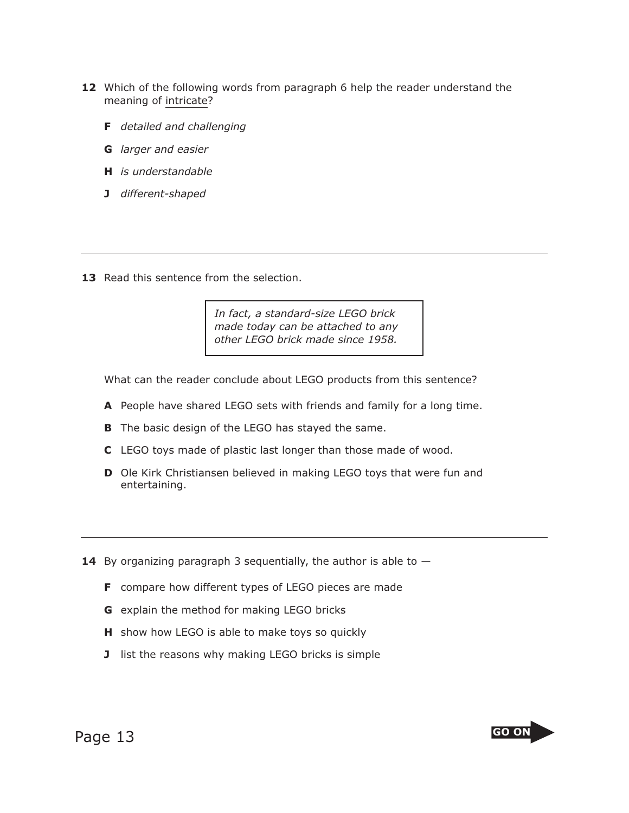- **12** Which of the following words from paragraph 6 help the reader understand the meaning of intricate?
	- **F** *detailed and challenging*
	- **G** *larger and easier*
	- **H** *is understandable*
	- **J** *different-shaped*
- 13 Read this sentence from the selection.

*In fact, a standard-size LEGO brick made today can be attached to any other LEGO brick made since 1958.*

What can the reader conclude about LEGO products from this sentence?

- **A** People have shared LEGO sets with friends and family for a long time.
- **B** The basic design of the LEGO has stayed the same.
- **C** LEGO toys made of plastic last longer than those made of wood.
- **D** Ole Kirk Christiansen believed in making LEGO toys that were fun and entertaining.
- **14** By organizing paragraph 3 sequentially, the author is able to  $-$ 
	- **F** compare how different types of LEGO pieces are made
	- **G** explain the method for making LEGO bricks
	- **H** show how LEGO is able to make toys so quickly
	- **J** list the reasons why making LEGO bricks is simple